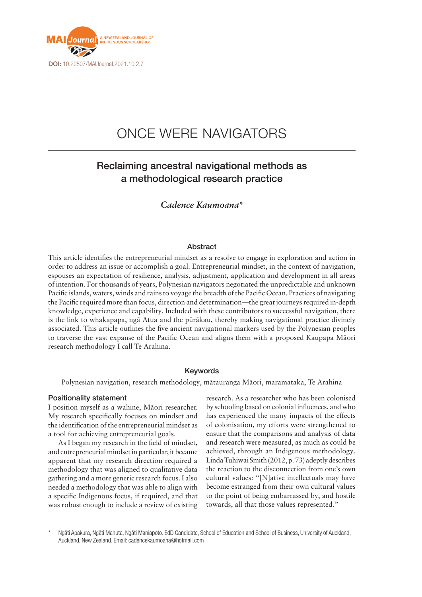

# ONCE WERE NAVIGATORS

# Reclaiming ancestral navigational methods as a methodological research practice

# *Cadence Kaumoana\**

# **Abstract**

This article identifies the entrepreneurial mindset as a resolve to engage in exploration and action in order to address an issue or accomplish a goal. Entrepreneurial mindset, in the context of navigation, espouses an expectation of resilience, analysis, adjustment, application and development in all areas of intention. For thousands of years, Polynesian navigators negotiated the unpredictable and unknown Pacific islands, waters, winds and rains to voyage the breadth of the Pacific Ocean. Practices of navigating the Pacific required more than focus, direction and determination—the great journeys required in-depth knowledge, experience and capability. Included with these contributors to successful navigation, there is the link to whakapapa, ngā Atua and the pūrākau, thereby making navigational practice divinely associated. This article outlines the five ancient navigational markers used by the Polynesian peoples to traverse the vast expanse of the Pacific Ocean and aligns them with a proposed Kaupapa Māori research methodology I call Te Arahina.

### Keywords

Polynesian navigation, research methodology, mātauranga Māori, maramataka, Te Arahina

#### Positionality statement

I position myself as a wahine, Māori researcher. My research specifically focuses on mindset and the identification of the entrepreneurial mindset as a tool for achieving entrepreneurial goals.

As I began my research in the field of mindset, and entrepreneurial mindset in particular, it became apparent that my research direction required a methodology that was aligned to qualitative data gathering and a more generic research focus. I also needed a methodology that was able to align with a specific Indigenous focus, if required, and that was robust enough to include a review of existing

research. As a researcher who has been colonised by schooling based on colonial influences, and who has experienced the many impacts of the effects of colonisation, my efforts were strengthened to ensure that the comparisons and analysis of data and research were measured, as much as could be achieved, through an Indigenous methodology. Linda Tuhiwai Smith (2012, p. 73) adeptly describes the reaction to the disconnection from one's own cultural values: "[N]ative intellectuals may have become estranged from their own cultural values to the point of being embarrassed by, and hostile towards, all that those values represented."

Ngāti Apakura, Ngāti Mahuta, Ngāti Maniapoto. EdD Candidate, School of Education and School of Business, University of Auckland, Auckland, New Zealand. Email: [cadencekaumoana@hotmail.com](mailto:cadencekaumoana@hotmail.com)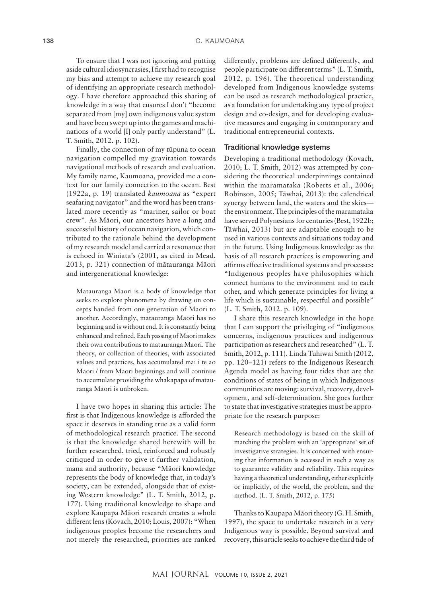To ensure that I was not ignoring and putting aside cultural idiosyncrasies, I first had to recognise my bias and attempt to achieve my research goal of identifying an appropriate research methodology. I have therefore approached this sharing of knowledge in a way that ensures I don't "become separated from [my] own indigenous value system and have been swept up into the games and machinations of a world [I] only partly understand" (L. T. Smith, 2012. p. 102).

Finally, the connection of my tūpuna to ocean navigation compelled my gravitation towards navigational methods of research and evaluation. My family name, Kaumoana, provided me a context for our family connection to the ocean. Best (1922a, p. 19) translated *kaumoana* as "expert seafaring navigator" and the word has been translated more recently as "mariner, sailor or boat crew". As Māori, our ancestors have a long and successful history of ocean navigation, which contributed to the rationale behind the development of my research model and carried a resonance that is echoed in Winiata's (2001, as cited in Mead, 2013, p. 321) connection of mātauranga Māori and intergenerational knowledge:

Matauranga Maori is a body of knowledge that seeks to explore phenomena by drawing on concepts handed from one generation of Maori to another. Accordingly, matauranga Maori has no beginning and is without end. It is constantly being enhanced and refined. Each passing of Maori makes their own contributions to matauranga Maori. The theory, or collection of theories, with associated values and practices, has accumulated mai i te ao Maori / from Maori beginnings and will continue to accumulate providing the whakapapa of matauranga Maori is unbroken.

I have two hopes in sharing this article: The first is that Indigenous knowledge is afforded the space it deserves in standing true as a valid form of methodological research practice. The second is that the knowledge shared herewith will be further researched, tried, reinforced and robustly critiqued in order to give it further validation, mana and authority, because "Māori knowledge represents the body of knowledge that, in today's society, can be extended, alongside that of existing Western knowledge" (L. T. Smith, 2012, p. 177). Using traditional knowledge to shape and explore Kaupapa Māori research creates a whole different lens (Kovach, 2010; Louis, 2007): "When indigenous peoples become the researchers and not merely the researched, priorities are ranked

differently, problems are defined differently, and people participate on different terms" (L. T. Smith, 2012, p. 196). The theoretical understanding developed from Indigenous knowledge systems can be used as research methodological practice, as a foundation for undertaking any type of project design and co-design, and for developing evaluative measures and engaging in contemporary and traditional entrepreneurial contexts.

#### Traditional knowledge systems

Developing a traditional methodology (Kovach, 2010; L. T. Smith, 2012) was attempted by considering the theoretical underpinnings contained within the maramataka (Roberts et al., 2006; Robinson, 2005; Tāwhai, 2013): the calendrical synergy between land, the waters and the skies the environment. The principles of the maramataka have served Polynesians for centuries (Best, 1922b; Tāwhai, 2013) but are adaptable enough to be used in various contexts and situations today and in the future. Using Indigenous knowledge as the basis of all research practices is empowering and affirms effective traditional systems and processes: "Indigenous peoples have philosophies which connect humans to the environment and to each other, and which generate principles for living a life which is sustainable, respectful and possible" (L. T. Smith, 2012. p. 109).

I share this research knowledge in the hope that I can support the privileging of "indigenous concerns, indigenous practices and indigenous participation as researchers and researched" (L. T. Smith, 2012, p. 111). Linda Tuhiwai Smith (2012, pp. 120–121) refers to the Indigenous Research Agenda model as having four tides that are the conditions of states of being in which Indigenous communities are moving: survival, recovery, development, and self-determination. She goes further to state that investigative strategies must be appropriate for the research purpose:

Research methodology is based on the skill of matching the problem with an 'appropriate' set of investigative strategies. It is concerned with ensuring that information is accessed in such a way as to guarantee validity and reliability. This requires having a theoretical understanding, either explicitly or implicitly, of the world, the problem, and the method. (L. T. Smith, 2012, p. 175)

Thanks to Kaupapa Māori theory (G. H. Smith, 1997), the space to undertake research in a very Indigenous way is possible. Beyond survival and recovery, this article seeks to achieve the third tide of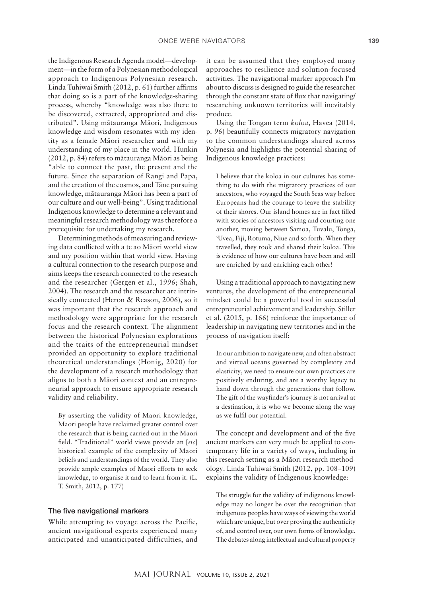the Indigenous Research Agenda model—development—in the form of a Polynesian methodological approach to Indigenous Polynesian research. Linda Tuhiwai Smith (2012, p. 61) further affirms that doing so is a part of the knowledge-sharing process, whereby "knowledge was also there to be discovered, extracted, appropriated and distributed". Using mātauranga Māori, Indigenous knowledge and wisdom resonates with my identity as a female Māori researcher and with my understanding of my place in the world. Hunkin (2012, p. 84) refers to mātauranga Māori as being "able to connect the past, the present and the future. Since the separation of Rangi and Papa, and the creation of the cosmos, and Tāne pursuing knowledge, mātauranga Māori has been a part of our culture and our well-being". Using traditional Indigenous knowledge to determine a relevant and meaningful research methodology was therefore a prerequisite for undertaking my research.

Determining methods of measuring and reviewing data conflicted with a te ao Māori world view and my position within that world view. Having a cultural connection to the research purpose and aims keeps the research connected to the research and the researcher (Gergen et al., 1996; Shah, 2004). The research and the researcher are intrinsically connected (Heron & Reason, 2006), so it was important that the research approach and methodology were appropriate for the research focus and the research context. The alignment between the historical Polynesian explorations and the traits of the entrepreneurial mindset provided an opportunity to explore traditional theoretical understandings (Honig, 2020) for the development of a research methodology that aligns to both a Māori context and an entrepreneurial approach to ensure appropriate research validity and reliability.

By asserting the validity of Maori knowledge, Maori people have reclaimed greater control over the research that is being carried out in the Maori field. "Traditional" world views provide an [*sic*] historical example of the complexity of Maori beliefs and understandings of the world. They also provide ample examples of Maori efforts to seek knowledge, to organise it and to learn from it. (L. T. Smith, 2012, p. 177)

#### The five navigational markers

While attempting to voyage across the Pacific, ancient navigational experts experienced many anticipated and unanticipated difficulties, and it can be assumed that they employed many approaches to resilience and solution-focused activities. The navigational-marker approach I'm about to discuss is designed to guide the researcher through the constant state of flux that navigating/ researching unknown territories will inevitably produce.

Using the Tongan term *koloa*, Havea (2014, p. 96) beautifully connects migratory navigation to the common understandings shared across Polynesia and highlights the potential sharing of Indigenous knowledge practices:

I believe that the koloa in our cultures has something to do with the migratory practices of our ancestors, who voyaged the South Seas way before Europeans had the courage to leave the stability of their shores. Our island homes are in fact filled with stories of ancestors visiting and courting one another, moving between Samoa, Tuvalu, Tonga, 'Uvea, Fiji, Rotuma, Niue and so forth. When they travelled, they took and shared their koloa. This is evidence of how our cultures have been and still are enriched by and enriching each other!

Using a traditional approach to navigating new ventures, the development of the entrepreneurial mindset could be a powerful tool in successful entrepreneurial achievement and leadership. Stiller et al. (2015, p. 166) reinforce the importance of leadership in navigating new territories and in the process of navigation itself:

In our ambition to navigate new, and often abstract and virtual oceans governed by complexity and elasticity, we need to ensure our own practices are positively enduring, and are a worthy legacy to hand down through the generations that follow. The gift of the wayfinder's journey is not arrival at a destination, it is who we become along the way as we fulfil our potential.

The concept and development and of the five ancient markers can very much be applied to contemporary life in a variety of ways, including in this research setting as a Māori research methodology. Linda Tuhiwai Smith (2012, pp. 108–109) explains the validity of Indigenous knowledge:

The struggle for the validity of indigenous knowledge may no longer be over the recognition that indigenous peoples have ways of viewing the world which are unique, but over proving the authenticity of, and control over, our own forms of knowledge. The debates along intellectual and cultural property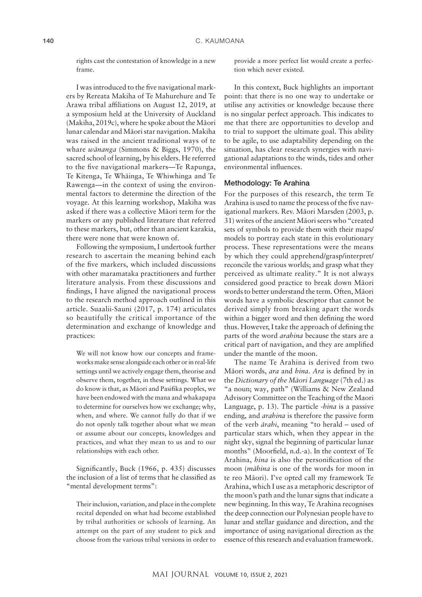rights cast the contestation of knowledge in a new frame.

I was introduced to the five navigational markers by Rereata Makiha of Te Mahurehure and Te Arawa tribal affiliations on August 12, 2019, at a symposium held at the University of Auckland (Makiha, 2019c), where he spoke about the Māori lunar calendar and Māori star navigation. Makiha was raised in the ancient traditional ways of te whare *wānanga* (Simmons & Biggs, 1970), the sacred school of learning, by his elders. He referred to the five navigational markers—Te Rapunga, Te Kitenga, Te Whāinga, Te Whiwhinga and Te Rawenga—in the context of using the environmental factors to determine the direction of the voyage. At this learning workshop, Makiha was asked if there was a collective Māori term for the markers or any published literature that referred to these markers, but, other than ancient karakia, there were none that were known of.

Following the symposium, I undertook further research to ascertain the meaning behind each of the five markers, which included discussions with other maramataka practitioners and further literature analysis. From these discussions and findings, I have aligned the navigational process to the research method approach outlined in this article. Suaalii-Sauni (2017, p. 174) articulates so beautifully the critical importance of the determination and exchange of knowledge and practices:

We will not know how our concepts and frameworks make sense alongside each other or in real-life settings until we actively engage them, theorise and observe them, together, in these settings. What we do know is that, as Māori and Pasifika peoples, we have been endowed with the mana and whakapapa to determine for ourselves how we exchange; why, when, and where. We cannot fully do that if we do not openly talk together about what we mean or assume about our concepts, knowledges and practices, and what they mean to us and to our relationships with each other.

Significantly, Buck (1966, p. 435) discusses the inclusion of a list of terms that he classified as "mental development terms":

Their inclusion, variation, and place in the complete recital depended on what had become established by tribal authorities or schools of learning. An attempt on the part of any student to pick and choose from the various tribal versions in order to

provide a more perfect list would create a perfection which never existed.

In this context, Buck highlights an important point: that there is no one way to undertake or utilise any activities or knowledge because there is no singular perfect approach. This indicates to me that there are opportunities to develop and to trial to support the ultimate goal. This ability to be agile, to use adaptability depending on the situation, has clear research synergies with navigational adaptations to the winds, tides and other environmental influences.

# Methodology: Te Arahina

For the purposes of this research, the term Te Arahina is used to name the process of the five navigational markers. Rev. Māori Marsden (2003, p. 31) writes of the ancient Māori seers who "created sets of symbols to provide them with their maps/ models to portray each state in this evolutionary process. These representations were the means by which they could apprehend/grasp/interpret/ reconcile the various worlds; and grasp what they perceived as ultimate reality." It is not always considered good practice to break down Māori words to better understand the term. Often, Māori words have a symbolic descriptor that cannot be derived simply from breaking apart the words within a bigger word and then defining the word thus. However, I take the approach of defining the parts of the word *arahina* because the stars are a critical part of navigation, and they are amplified under the mantle of the moon.

The name Te Arahina is derived from two Māori words, *ara* and *hina*. *Ara* is defined by in the *Dictionary of the Māori Language* (7th ed.) as "a noun; way, path" (Williams & New Zealand Advisory Committee on the Teaching of the Maori Language, p. 13). The particle *-hina* is a passive ending, and *arahina* is therefore the passive form of the verb *ārahi*, meaning "to herald – used of particular stars which, when they appear in the night sky, signal the beginning of particular lunar months" (Moorfield, n.d.-a). In the context of Te Arahina, *hina* is also the personification of the moon (*māhina* is one of the words for moon in te reo Māori). I've opted call my framework Te Arahina, which I use as a metaphoric descriptor of the moon's path and the lunar signs that indicate a new beginning. In this way, Te Arahina recognises the deep connection our Polynesian people have to lunar and stellar guidance and direction, and the importance of using navigational direction as the essence of this research and evaluation framework.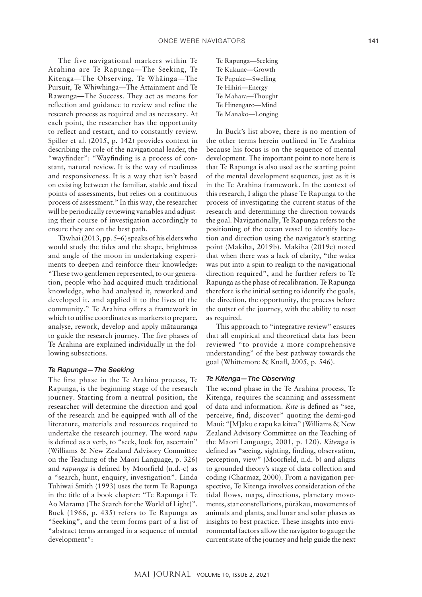The five navigational markers within Te Arahina are Te Rapunga—The Seeking, Te Kitenga—The Observing, Te Whāinga—The Pursuit, Te Whiwhinga—The Attainment and Te Rawenga—The Success. They act as means for reflection and guidance to review and refine the research process as required and as necessary. At each point, the researcher has the opportunity to reflect and restart, and to constantly review. Spiller et al. (2015, p. 142) provides context in describing the role of the navigational leader, the "wayfinder": "Wayfinding is a process of constant, natural review. It is the way of readiness and responsiveness. It is a way that isn't based on existing between the familiar, stable and fixed points of assessments, but relies on a continuous process of assessment." In this way, the researcher will be periodically reviewing variables and adjusting their course of investigation accordingly to ensure they are on the best path.

Tāwhai (2013, pp. 5–6) speaks of his elders who would study the tides and the shape, brightness and angle of the moon in undertaking experiments to deepen and reinforce their knowledge: "These two gentlemen represented, to our generation, people who had acquired much traditional knowledge, who had analysed it, reworked and developed it, and applied it to the lives of the community." Te Arahina offers a framework in which to utilise coordinates as markers to prepare, analyse, rework, develop and apply mātauranga to guide the research journey. The five phases of Te Arahina are explained individually in the following subsections.

#### *Te Rapunga—The Seeking*

The first phase in the Te Arahina process, Te Rapunga, is the beginning stage of the research journey. Starting from a neutral position, the researcher will determine the direction and goal of the research and be equipped with all of the literature, materials and resources required to undertake the research journey. The word *rapu*  is defined as a verb, to "seek, look for, ascertain" (Williams & New Zealand Advisory Committee on the Teaching of the Maori Language, p. 326) and *rapunga* is defined by Moorfield (n.d.-c) as a "search, hunt, enquiry, investigation". Linda Tuhiwai Smith (1993) uses the term Te Rapunga in the title of a book chapter: "Te Rapunga i Te Ao Marama (The Search for the World of Light)". Buck (1966, p. 435) refers to Te Rapunga as "Seeking", and the term forms part of a list of "abstract terms arranged in a sequence of mental development":

Te Rapunga—Seeking Te Kukune—Growth Te Pupuke—Swelling Te Hihiri—Energy Te Mahara—Thought Te Hinengaro—Mind Te Manako—Longing

In Buck's list above, there is no mention of the other terms herein outlined in Te Arahina because his focus is on the sequence of mental development. The important point to note here is that Te Rapunga is also used as the starting point of the mental development sequence, just as it is in the Te Arahina framework. In the context of this research, I align the phase Te Rapunga to the process of investigating the current status of the research and determining the direction towards the goal. Navigationally, Te Rapunga refers to the positioning of the ocean vessel to identify location and direction using the navigator's starting point (Makiha, 2019b). Makiha (2019c) noted that when there was a lack of clarity, "the waka was put into a spin to realign to the navigational direction required", and he further refers to Te Rapunga as the phase of recalibration. Te Rapunga therefore is the initial setting to identify the goals, the direction, the opportunity, the process before the outset of the journey, with the ability to reset as required.

This approach to "integrative review" ensures that all empirical and theoretical data has been reviewed "to provide a more comprehensive understanding" of the best pathway towards the goal (Whittemore & Knafl, 2005, p. 546).

#### *Te Kitenga—The Observing*

The second phase in the Te Arahina process, Te Kitenga, requires the scanning and assessment of data and information. *Kite* is defined as "see, perceive, find, discover" quoting the demi-god Maui: "[M]aku e rapu ka kitea" (Williams & New Zealand Advisory Committee on the Teaching of the Maori Language, 2001, p. 120). *Kitenga* is defined as "seeing, sighting, finding, observation, perception, view" (Moorfield, n.d.-b) and aligns to grounded theory's stage of data collection and coding (Charmaz, 2000). From a navigation perspective, Te Kitenga involves consideration of the tidal flows, maps, directions, planetary movements, star constellations, pūrākau, movements of animals and plants, and lunar and solar phases as insights to best practice. These insights into environmental factors allow the navigator to gauge the current state of the journey and help guide the next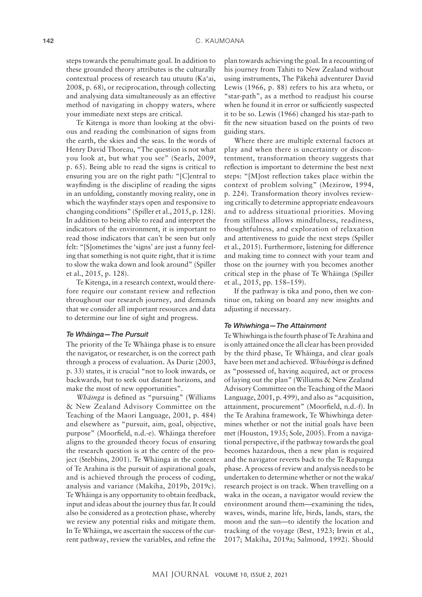steps towards the penultimate goal. In addition to these grounded theory attributes is the culturally contextual process of research tau utuutu (Ka'ai, 2008, p. 68), or reciprocation, through collecting and analysing data simultaneously as an effective method of navigating in choppy waters, where your immediate next steps are critical.

Te Kitenga is more than looking at the obvious and reading the combination of signs from the earth, the skies and the seas. In the words of Henry David Thoreau, "The question is not what you look at, but what you see" (Searls, 2009, p. 65). Being able to read the signs is critical to ensuring you are on the right path: "[C]entral to wayfinding is the discipline of reading the signs in an unfolding, constantly moving reality, one in which the wayfinder stays open and responsive to changing conditions" (Spiller et al., 2015, p. 128). In addition to being able to read and interpret the indicators of the environment, it is important to read those indicators that can't be seen but only felt: "[S]ometimes the 'signs' are just a funny feeling that something is not quite right, that it is time to slow the waka down and look around" (Spiller et al., 2015, p. 128).

Te Kitenga, in a research context, would therefore require our constant review and reflection throughout our research journey, and demands that we consider all important resources and data to determine our line of sight and progress.

#### *Te Whāinga—The Pursuit*

The priority of the Te Whāinga phase is to ensure the navigator, or researcher, is on the correct path through a process of evaluation. As Durie (2003, p. 33) states, it is crucial "not to look inwards, or backwards, but to seek out distant horizons, and make the most of new opportunities".

*Whāinga* is defined as "pursuing" (Williams & New Zealand Advisory Committee on the Teaching of the Maori Language, 2001, p. 484) and elsewhere as "pursuit, aim, goal, objective, purpose" (Moorfield, n.d.-e). Whāinga therefore aligns to the grounded theory focus of ensuring the research question is at the centre of the project (Stebbins, 2001). Te Whāinga in the context of Te Arahina is the pursuit of aspirational goals, and is achieved through the process of coding, analysis and variance (Makiha, 2019b, 2019c). Te Whāinga is any opportunity to obtain feedback, input and ideas about the journey thus far. It could also be considered as a protection phase, whereby we review any potential risks and mitigate them. In Te Whāinga, we ascertain the success of the current pathway, review the variables, and refine the

plan towards achieving the goal. In a recounting of his journey from Tahiti to New Zealand without using instruments, The Pākehā adventurer David Lewis (1966, p. 88) refers to his ara whetu, or "star-path", as a method to readjust his course when he found it in error or sufficiently suspected it to be so. Lewis (1966) changed his star-path to fit the new situation based on the points of two guiding stars.

Where there are multiple external factors at play and when there is uncertainty or discontentment, transformation theory suggests that reflection is important to determine the best next steps: "[M]ost reflection takes place within the context of problem solving" (Mezirow, 1994, p. 224). Transformation theory involves reviewing critically to determine appropriate endeavours and to address situational priorities. Moving from stillness allows mindfulness, readiness, thoughtfulness, and exploration of relaxation and attentiveness to guide the next steps (Spiller et al., 2015). Furthermore, listening for difference and making time to connect with your team and those on the journey with you becomes another critical step in the phase of Te Whāinga (Spiller et al., 2015, pp. 158–159).

If the pathway is tika and pono, then we continue on, taking on board any new insights and adjusting if necessary.

#### *Te Whiwhinga—The Attainment*

Te Whiwhinga is the fourth phase of Te Arahina and is only attained once the all clear has been provided by the third phase, Te Whāinga, and clear goals have been met and achieved. *Whiwhinga* is defined as "possessed of, having acquired, act or process of laying out the plan" (Williams & New Zealand Advisory Committee on the Teaching of the Maori Language, 2001, p. 499), and also as "acquisition, attainment, procurement" (Moorfield, n.d.-f). In the Te Arahina framework, Te Whiwhinga determines whether or not the initial goals have been met (Houston, 1935; Sole, 2005). From a navigational perspective, if the pathway towards the goal becomes hazardous, then a new plan is required and the navigator reverts back to the Te Rapunga phase. A process of review and analysis needs to be undertaken to determine whether or not the waka/ research project is on track. When travelling on a waka in the ocean, a navigator would review the environment around them—examining the tides, waves, winds, marine life, birds, lands, stars, the moon and the sun—to identify the location and tracking of the voyage (Best, 1923; Irwin et al., 2017; Makiha, 2019a; Salmond, 1992). Should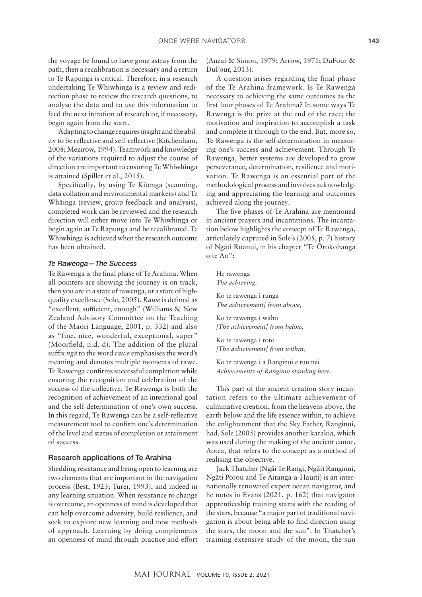the voyage be found to have gone astray from the path, then a recalibration is necessary and a return to Te Rapunga is critical. Therefore, in a research undertaking Te Whiwhinga is a review and redirection phase to review the research questions, to analyse the data and to use this information to feed the next iteration of research or, if necessary, begin again from the start.

Adapting to change requires insight and the ability to be reflective and self-reflective (Kitchenham, 2008; Mezirow, 1994). Teamwork and knowledge of the variations required to adjust the course of direction are important to ensuring Te Whiwhinga is attained (Spiller et al., 2015).

Specifically, by using Te Kitenga (scanning, data collation and environmental markers) and Te Whāinga (review, group feedback and analysis), completed work can be reviewed and the research direction will either move into Te Whiwhinga or begin again at Te Rapunga and be recalibrated. Te Whiwhinga is achieved when the research outcome has been obtained.

#### *Te Rawenga—The Success*

Te Rawenga is the final phase of Te Arahina. When all pointers are showing the journey is on track, then you are in a state of rawenga, or a state of highquality excellence (Sole, 2005). *Rawe* is defined as "excellent, sufficient, enough" (Williams & New Zealand Advisory Committee on the Teaching of the Maori Language, 2001, p. 332) and also as "fine, nice, wonderful, exceptional, super" (Moorfield, n.d.-d). The addition of the plural suffix *ngā* to the word *rawe* emphasises the word's meaning and denotes multiple moments of rawe. Te Rawenga confirms successful completion while ensuring the recognition and celebration of the success of the collective. Te Rawenga is both the recognition of achievement of an intentional goal and the self-determination of one's own success. In this regard, Te Rawenga can be a self-reflective measurement tool to confirm one's determination of the level and status of completion or attainment of success.

#### Research applications of Te Arahina

Shedding resistance and being open to learning are two elements that are important in the navigation process (Best, 1923; Turei, 1993), and indeed in any learning situation. When resistance to change is overcome, an openness of mind is developed that can help overcome adversity, build resilience, and seek to explore new learning and new methods of approach. Learning by doing complements an openness of mind through practice and effort

(Anzai & Simon, 1979; Arrow, 1971; DuFour & DuFour, 2013).

A question arises regarding the final phase of the Te Arahina framework. Is Te Rawenga necessary to achieving the same outcomes as the first four phases of Te Arahina? In some ways Te Rawenga is the prize at the end of the race; the motivation and inspiration to accomplish a task and complete it through to the end. But, more so, Te Rawenga is the self-determination in measuring one's success and achievement. Through Te Rawenga, better systems are developed to grow perseverance, determination, resilience and motivation. Te Rawenga is an essential part of the methodological process and involves acknowledging and appreciating the learning and outcomes achieved along the journey.

The five phases of Te Arahina are mentioned in ancient prayers and incantations. The incantation below highlights the concept of Te Rawenga, articulately captured in Sole's (2005, p. 7) history of Ngāti Ruanui, in his chapter "Te Ōrokohanga o te Ao":

He rawenga *The achieving.*

Ko te rawenga i runga *The achievement] from above,*

Ko te rawenga i waho *[The achievement] from below,*

Ko te rawenga i roto *[The achievement] from within,*

Ko te rawenga i a Ranginui e tuu nei *Achievements of Ranginui standing here.*

This part of the ancient creation story incantation refers to the ultimate achievement of culminative creation, from the heavens above, the earth below and the life essence within, to achieve the enlightenment that the Sky Father, Ranginui, had. Sole (2005) provides another karakia, which was used during the making of the ancient canoe, Aotea, that refers to the concept as a method of realising the objective.

Jack Thatcher (Ngāi Te Rangi, Ngāti Ranginui, Ngāti Porou and Te Aitanga-a-Hauiti) is an internationally renowned expert ocean navigator, and he notes in Evans (2021, p. 162) that navigator apprenticeship training starts with the reading of the stars, because "a major part of traditional navigation is about being able to find direction using the stars, the moon and the sun". In Thatcher's training extensive study of the moon, the sun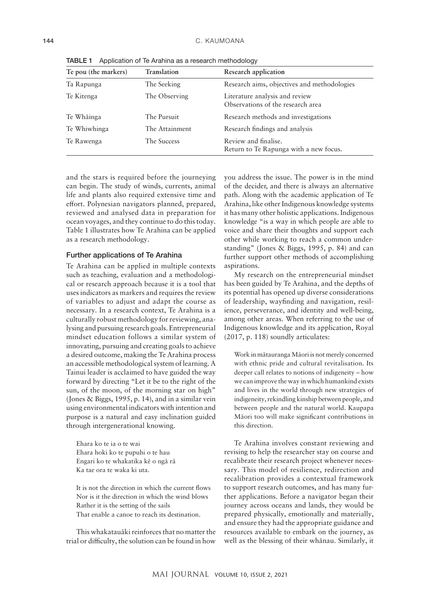| Te pou (the markers) | <b>Translation</b> | Research application                                                |
|----------------------|--------------------|---------------------------------------------------------------------|
| Ta Rapunga           | The Seeking        | Research aims, objectives and methodologies                         |
| Te Kitenga           | The Observing      | Literature analysis and review<br>Observations of the research area |
| Te Whāinga           | The Pursuit        | Research methods and investigations                                 |
| Te Whiwhinga         | The Attainment     | Research findings and analysis                                      |
| Te Rawenga           | The Success        | Review and finalise.<br>Return to Te Rapunga with a new focus.      |

TABLE 1 Application of Te Arahina as a research methodology

and the stars is required before the journeying can begin. The study of winds, currents, animal life and plants also required extensive time and effort. Polynesian navigators planned, prepared, reviewed and analysed data in preparation for ocean voyages, and they continue to do this today. Table 1 illustrates how Te Arahina can be applied as a research methodology.

#### Further applications of Te Arahina

Te Arahina can be applied in multiple contexts such as teaching, evaluation and a methodological or research approach because it is a tool that uses indicators as markers and requires the review of variables to adjust and adapt the course as necessary. In a research context, Te Arahina is a culturally robust methodology for reviewing, analysing and pursuing research goals. Entrepreneurial mindset education follows a similar system of innovating, pursuing and creating goals to achieve a desired outcome, making the Te Arahina process an accessible methodological system of learning. A Tainui leader is acclaimed to have guided the way forward by directing "Let it be to the right of the sun, of the moon, of the morning star on high" (Jones & Biggs, 1995, p. 14), and in a similar vein using environmental indicators with intention and purpose is a natural and easy inclination guided through intergenerational knowing.

Ehara ko te ia o te wai Ehara hoki ko te pupuhi o te hau Engari ko te whakatika kē o ngā rā Ka tae ora te waka ki uta.

It is not the direction in which the current flows Nor is it the direction in which the wind blows Rather it is the setting of the sails That enable a canoe to reach its destination.

This whakatauāki reinforces that no matter the trial or difficulty, the solution can be found in how

you address the issue. The power is in the mind of the decider, and there is always an alternative path. Along with the academic application of Te Arahina, like other Indigenous knowledge systems it has many other holistic applications. Indigenous knowledge "is a way in which people are able to voice and share their thoughts and support each other while working to reach a common understanding" (Jones & Biggs, 1995, p. 84) and can further support other methods of accomplishing aspirations.

My research on the entrepreneurial mindset has been guided by Te Arahina, and the depths of its potential has opened up diverse considerations of leadership, wayfinding and navigation, resilience, perseverance, and identity and well-being, among other areas. When referring to the use of Indigenous knowledge and its application, Royal (2017, p. 118) soundly articulates:

Work in mātauranga Māori is not merely concerned with ethnic pride and cultural revitalisation. Its deeper call relates to notions of indigeneity – how we can improve the way in which humankind exists and lives in the world through new strategies of indigeneity, rekindling kinship between people, and between people and the natural world. Kaupapa Māori too will make significant contributions in this direction.

Te Arahina involves constant reviewing and revising to help the researcher stay on course and recalibrate their research project whenever necessary. This model of resilience, redirection and recalibration provides a contextual framework to support research outcomes, and has many further applications. Before a navigator began their journey across oceans and lands, they would be prepared physically, emotionally and materially, and ensure they had the appropriate guidance and resources available to embark on the journey, as well as the blessing of their whānau. Similarly, it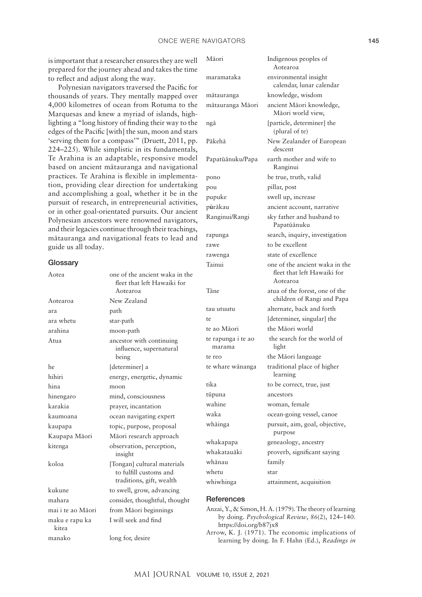is important that a researcher ensures they are well prepared for the journey ahead and takes the time to reflect and adjust along the way.

Polynesian navigators traversed the Pacific for thousands of years. They mentally mapped over 4,000 kilometres of ocean from Rotuma to the Marquesas and knew a myriad of islands, highlighting a "long history of finding their way to the edges of the Pacific [with] the sun, moon and stars 'serving them for a compass'" (Druett, 2011, pp. 224–225). While simplistic in its fundamentals, Te Arahina is an adaptable, responsive model based on ancient mātauranga and navigational practices. Te Arahina is flexible in implementation, providing clear direction for undertaking and accomplishing a goal, whether it be in the pursuit of research, in entrepreneurial activities, or in other goal-orientated pursuits. Our ancient Polynesian ancestors were renowned navigators, and their legacies continue through their teachings, mātauranga and navigational feats to lead and guide us all today.

#### **Glossary**

| Aotea                   | one of the ancient waka in the<br>fleet that left Hawaiki for<br>Aotearoa         |
|-------------------------|-----------------------------------------------------------------------------------|
| Aotearoa                | New Zealand                                                                       |
| ara                     | path                                                                              |
| ara whetu               | star-path                                                                         |
| arahina                 | moon-path                                                                         |
| Atua                    | ancestor with continuing<br>influence, supernatural<br>being                      |
| he                      | [determiner] a                                                                    |
| hihiri                  | energy, energetic, dynamic                                                        |
| hina                    | moon                                                                              |
| hinengaro               | mind, consciousness                                                               |
| karakia                 | prayer, incantation                                                               |
| kaumoana                | ocean navigating expert                                                           |
| kaupapa                 | topic, purpose, proposal                                                          |
| Kaupapa Māori           | Māori research approach                                                           |
| kitenga                 | observation, perception,<br>insight                                               |
| koloa                   | [Tongan] cultural materials<br>to fulfill customs and<br>traditions, gift, wealth |
| kukune                  | to swell, grow, advancing                                                         |
| mahara                  | consider, thoughtful, thought                                                     |
| mai i te ao Māori       | from Māori beginnings                                                             |
| maku e rapu ka<br>kitea | I will seek and find                                                              |
| manako                  | long for, desire                                                                  |

| Māori                        | Indigenous peoples of<br>Aotearoa                                         |
|------------------------------|---------------------------------------------------------------------------|
| maramataka                   | environmental insight<br>calendar, lunar calendar                         |
| mātauranga                   | knowledge, wisdom                                                         |
| mātauranga Māori             | ancient Māori knowledge,<br>Māori world view,                             |
| nga                          | [particle, determiner] the<br>(plural of te)                              |
| Pākehā                       | New Zealander of European<br>descent                                      |
| Papatūānuku/Papa             | earth mother and wife to<br>Ranginui                                      |
| pono                         | be true, truth, valid                                                     |
| pou                          | pillar, post                                                              |
| pupuke                       | swell up, increase                                                        |
| pūrākau                      | ancient account, narrative                                                |
| Ranginui/Rangi               | sky father and husband to<br>Papatūānuku                                  |
| rapunga                      | search, inquiry, investigation                                            |
| rawe                         | to be excellent                                                           |
| rawenga                      | state of excellence                                                       |
| Tainui                       | one of the ancient waka in the<br>fleet that left Hawaiki for<br>Aotearoa |
| Tāne                         | atua of the forest, one of the<br>children of Rangi and Papa              |
| tau utuutu                   | alternate, back and forth                                                 |
| te                           | [determiner, singular] the                                                |
| te ao Māori                  | the Māori world                                                           |
| te rapunga i te ao<br>marama | the search for the world of<br>light                                      |
| te reo                       | the Māori language                                                        |
| te whare wānanga             | traditional place of higher<br>learning                                   |
| tika                         | to be correct, true, just                                                 |
| tūpuna                       | ancestors                                                                 |
| wahine                       | woman, female                                                             |
| waka                         | ocean-going vessel, canoe                                                 |
| whāinga                      | pursuit, aim, goal, objective,<br>purpose                                 |
| whakapapa                    | geneaology, ancestry                                                      |
| whakatauāki                  | proverb, significant saying                                               |
| whānau                       | family                                                                    |
| whetu                        | star                                                                      |
| whiwhinga                    | attainment, acquisition                                                   |

# **References**

- Anzai, Y., & Simon, H. A. (1979). The theory of learning by doing. *Psychological Review*, *86*(2), 124–140. <https://doi.org/b87jx8>
- Arrow, K. J. (1971). The economic implications of learning by doing. In F. Hahn (Ed.), *Readings in*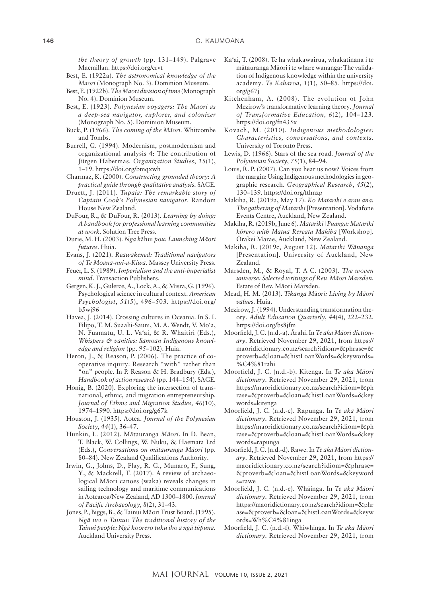*the theory of growth* (pp. 131–149). Palgrave Macmillan.<https://doi.org/crvt>

- Best, E. (1922a). *The astronomical knowledge of the Maori* (Monograph No. 3). Dominion Museum.
- Best, E. (1922b). *The Maori division of time* (Monograph No. 4). Dominion Museum.
- Best, E. (1923). *Polynesian voyagers: The Maori as a deep-sea navigator, explorer, and colonizer* (Monograph No. 5). Dominion Museum.
- Buck, P. (1966). *The coming of the Māori*. Whitcombe and Tombs.
- Burrell, G. (1994). Modernism, postmodernism and organizational analysis 4: The contribution of Jürgen Habermas. *Organization Studies*, *15*(1), 1–19.<https://doi.org/bmqxwh>
- Charmaz, K. (2000). *Constructing grounded theory: A practical guide through qualitative analysis.* SAGE.
- Druett, J. (2011). *Tupaia: The remarkable story of Captain Cook's Polynesian navigator*. Random House New Zealand.
- DuFour, R., & DuFour, R. (2013). *Learning by doing: A handbook for professional learning communities at work*. Solution Tree Press.
- Durie, M. H. (2003). *Nga k*āhui *pou: Launching Māori futures*. Huia.
- Evans, J. (2021). *Reawakened: Traditional navigators of Te Moana-nui-a-Kiwa*. Massey University Press.
- Feuer, L. S. (1989). *Imperialism and the anti-imperialist mind*. Transaction Publishers.
- Gergen, K. J., Gulerce, A., Lock, A., & Misra, G. (1996). Psychological science in cultural context. *American Psychologist*, *51*(5), 496–503. [https://doi.org/](https://doi.org/b5wj96) [b5wj96](https://doi.org/b5wj96)
- Havea, J. (2014). Crossing cultures in Oceania. In S. L Filipo, T. M. Suaalii-Sauni, M. A. Wendt, V. Mo'a, N. Fuamatu, U. L. Va'ai, & R. Whaitiri (Eds.), *Whispers & vanities: Samoan Indigenous knowledge and religion* (pp. 95–102). Huia.
- Heron, J., & Reason, P. (2006). The practice of cooperative inquiry: Research "with" rather than "on" people. In P. Reason & H. Bradbury (Eds.), *Handbook of action research* (pp. 144–154). SAGE.
- Honig, B. (2020). Exploring the intersection of transnational, ethnic, and migration entrepreneurship. *Journal of Ethnic and Migration Studies, 46*(10), 1974–1990.<https://doi.org/g67k>
- Houston, J. (1935). Aotea. *Journal of the Polynesian Society*, *44*(1), 36–47.
- Hunkin, L. (2012). Mātauranga *Māori*. In D. Bean, T. Black, W. Collings, W. Nuku, & Haemata Ltd (Eds.), *Conversations on mātauranga Māori* (pp. 80–84). New Zealand Qualifications Authority.
- Irwin, G., Johns, D., Flay, R. G., Munaro, F., Sung, Y., & Mackrell, T. (2017). A review of archaeological Māori canoes (waka) reveals changes in sailing technology and maritime communications in Aotearoa/New Zealand, AD 1300–1800. *Journal of Pacific Archaeology*, *8*(2), 31–43.
- Jones, P., Biggs, B., & Tainui Māori Trust Board. (1995). *Ngā iwi o Tainui: The traditional history of the Tainui people: Ngā koorero tuku iho a ngā tūpuna.* Auckland University Press.
- Ka'ai, T. (2008). Te ha whakawairua, whakatinana i te mātauranga Māori i te whare wananga: The validation of Indigenous knowledge within the university academy. *Te Kaharoa*, *1*(1), 50–85. [https://doi.](https://doi.org/g67j) [org/g67j](https://doi.org/g67j)
- Kitchenham, A. (2008). The evolution of John Mezirow's transformative learning theory. *Journal of Transformative Education, 6*(2), 104–123. <https://doi.org/fn435x>
- Kovach, M. (2010). *Indigenous methodologies: Characteristics, conversations, and contexts*. University of Toronto Press.
- Lewis, D. (1966). Stars of the sea road. *Journal of the Polynesian Society*, *75*(1), 84–94.
- Louis, R. P. (2007). Can you hear us now? Voices from the margin: Using Indigenous methodologies in geographic research. *Geographical Research*, *45*(2), 130–139. <https://doi.org/fthnzp>
- Makiha, R. (2019a, May 17). *Ko Matariki e arau ana: The gathering of Matariki* [Presentation]. Vodafone Events Centre, Auckland, New Zealand.
- Makiha, R. (2019b, June 6). *Matariki | Puanga: Matariki kōrero with Matua Rereata Makiha* [Workshop]. Ōrakei Marae, Auckland, New Zealand.
- Makiha, R. (2019c, August 12). *Matariki Wānanga* [Presentation]. University of Auckland, New Zealand.
- Marsden, M., & Royal, T. A C. (2003). *The woven universe: Selected writings of Rev. Māori Marsden*. Estate of Rev. Māori Marsden.
- Mead, H. M. (2013). *Tikanga M*ā*ori: Living by Māori values*. Huia.
- Mezirow, J. (1994). Understanding transformation theory. *Adult Education Quarterly*, *44*(4), 222–232. <https://doi.org/bs8jfm>
- Moorfield, J. C. (n.d.-a). Ārahi. In *Te aka Māori dictionary*. Retrieved November 29, 2021, from [https://](https://maoridictionary.co.nz/search?idiom=&phrase=&proverb=&loan=&histLoanWords=&keywords=%C4%81rahi) [maoridictionary.co.nz/search?idiom=&phrase=&](https://maoridictionary.co.nz/search?idiom=&phrase=&proverb=&loan=&histLoanWords=&keywords=%C4%81rahi) [proverb=&loan=&histLoanWords=&keywords=](https://maoridictionary.co.nz/search?idiom=&phrase=&proverb=&loan=&histLoanWords=&keywords=%C4%81rahi) [%C4%81rahi](https://maoridictionary.co.nz/search?idiom=&phrase=&proverb=&loan=&histLoanWords=&keywords=%C4%81rahi)
- Moorfield, J. C. (n.d.-b). Kitenga. In *Te aka Māori dictionary*. Retrieved November 29, 2021, from [https://maoridictionary.co.nz/search?idiom=&ph](https://maoridictionary.co.nz/search?idiom=&phrase=&proverb=&loan=&histLoanWords=&keywords=kitenga) [rase=&proverb=&loan=&histLoanWords=&key](https://maoridictionary.co.nz/search?idiom=&phrase=&proverb=&loan=&histLoanWords=&keywords=kitenga) [words=kitenga](https://maoridictionary.co.nz/search?idiom=&phrase=&proverb=&loan=&histLoanWords=&keywords=kitenga)
- Moorfield, J. C. (n.d.-c). Rapunga. In *Te aka Māori dictionary*. Retrieved November 29, 2021, from [https://maoridictionary.co.nz/search?idiom=&ph](https://maoridictionary.co.nz/search?idiom=&phrase=&proverb=&loan=&histLoanWords=&keywords=rapunga) [rase=&proverb=&loan=&histLoanWords=&key](https://maoridictionary.co.nz/search?idiom=&phrase=&proverb=&loan=&histLoanWords=&keywords=rapunga) [words=rapunga](https://maoridictionary.co.nz/search?idiom=&phrase=&proverb=&loan=&histLoanWords=&keywords=rapunga)
- Moorfield, J. C. (n.d.-d). Rawe. In *Te aka Māori dictionary*. Retrieved November 29, 2021, from [https://](https://maoridictionary.co.nz/search?idiom=&phrase=&proverb=&loan=&histLoanWords=&keywords=rawe) [maoridictionary.co.nz/search?idiom=&phrase=](https://maoridictionary.co.nz/search?idiom=&phrase=&proverb=&loan=&histLoanWords=&keywords=rawe) [&proverb=&loan=&histLoanWords=&keyword](https://maoridictionary.co.nz/search?idiom=&phrase=&proverb=&loan=&histLoanWords=&keywords=rawe) [s=rawe](https://maoridictionary.co.nz/search?idiom=&phrase=&proverb=&loan=&histLoanWords=&keywords=rawe)
- Moorfield, J. C. (n.d.-e). Whāinga. In *Te aka Māori dictionary*. Retrieved November 29, 2021, from [https://maoridictionary.co.nz/search?idiom=&phr](https://maoridictionary.co.nz/search?idiom=&phrase=&proverb=&loan=&histLoanWords=&keywords=Wh%C4%81inga) [ase=&proverb=&loan=&histLoanWords=&keyw](https://maoridictionary.co.nz/search?idiom=&phrase=&proverb=&loan=&histLoanWords=&keywords=Wh%C4%81inga) [ords=Wh%C4%81inga](https://maoridictionary.co.nz/search?idiom=&phrase=&proverb=&loan=&histLoanWords=&keywords=Wh%C4%81inga)
- Moorfield, J. C. (n.d.-f). Whiwhinga. In *Te aka Māori dictionary*. Retrieved November 29, 2021, from